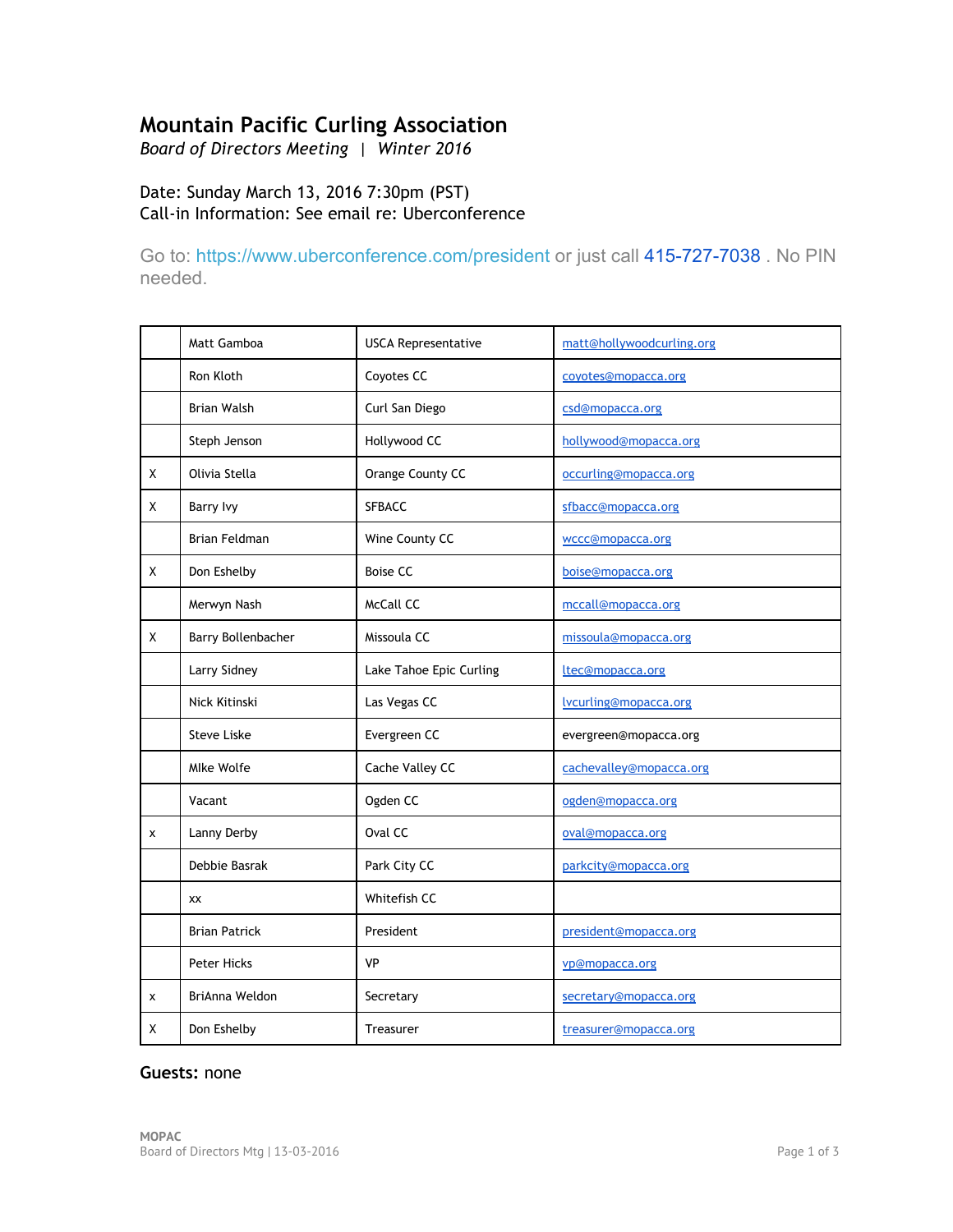# **Mountain Pacific Curling Association**

*Board of Directors Meeting | Winter 2016*

# Date: Sunday March 13, 2016 7:30pm (PST) Call‐in Information: See email re: Uberconference

Go to: <https://www.uberconference.com/president> or just call 415-727-7038 . No PIN needed.

|   | Matt Gamboa          | <b>USCA Representative</b> | matt@hollywoodcurling.org |
|---|----------------------|----------------------------|---------------------------|
|   | Ron Kloth            | Coyotes CC                 | coyotes@mopacca.org       |
|   | <b>Brian Walsh</b>   | Curl San Diego             | csd@mopacca.org           |
|   | Steph Jenson         | Hollywood CC               | hollywood@mopacca.org     |
| X | Olivia Stella        | Orange County CC           | occurling@mopacca.org     |
| Χ | <b>Barry Ivy</b>     | <b>SFBACC</b>              | sfbacc@mopacca.org        |
|   | <b>Brian Feldman</b> | Wine County CC             | wccc@mopacca.org          |
| χ | Don Eshelby          | <b>Boise CC</b>            | boise@mopacca.org         |
|   | Merwyn Nash          | McCall CC                  | mccall@mopacca.org        |
| Χ | Barry Bollenbacher   | Missoula CC                | missoula@mopacca.org      |
|   | Larry Sidney         | Lake Tahoe Epic Curling    | ltec@mopacca.org          |
|   | Nick Kitinski        | Las Vegas CC               | lycurling@mopacca.org     |
|   | <b>Steve Liske</b>   | Evergreen CC               | evergreen@mopacca.org     |
|   | Mlke Wolfe           | Cache Valley CC            | cachevalley@mopacca.org   |
|   | Vacant               | Ogden CC                   | ogden@mopacca.org         |
| X | Lanny Derby          | Oval CC                    | oval@mopacca.org          |
|   | Debbie Basrak        | Park City CC               | parkcity@mopacca.org      |
|   | XX                   | Whitefish CC               |                           |
|   | <b>Brian Patrick</b> | President                  | president@mopacca.org     |
|   | <b>Peter Hicks</b>   | <b>VP</b>                  | vp@mopacca.org            |
| X | BriAnna Weldon       | Secretary                  | secretary@mopacca.org     |
| х | Don Eshelby          | Treasurer                  | treasurer@mopacca.org     |

#### **Guests:** none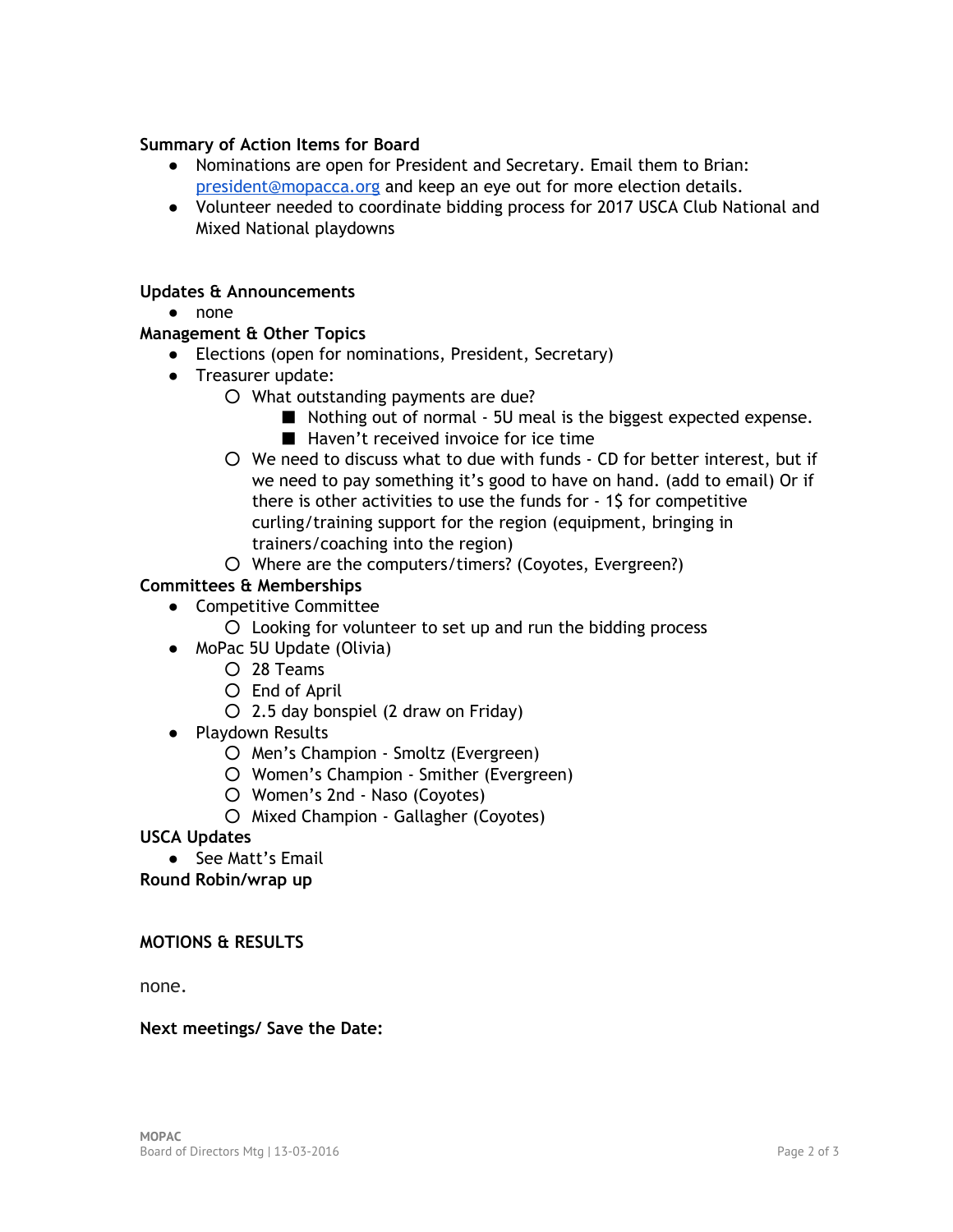## **Summary of Action Items for Board**

- Nominations are open for President and Secretary. Email them to Brian: [president@mopacca.org](mailto:president@mopacca.org) and keep an eye out for more election details.
- Volunteer needed to coordinate bidding process for 2017 USCA Club National and Mixed National playdowns

## **Updates & Announcements**

● none

# **Management & Other Topics**

- Elections (open for nominations, President, Secretary)
- Treasurer update:
	- What outstanding payments are due?
		- Nothing out of normal 5U meal is the biggest expected expense.
		- Haven't received invoice for ice time
	- We need to discuss what to due with funds ‐ CD for better interest, but if we need to pay something it's good to have on hand. (add to email) Or if there is other activities to use the funds for ‐ 1\$ for competitive curling/training support for the region (equipment, bringing in trainers/coaching into the region)
	- Where are the computers/timers? (Coyotes, Evergreen?)

# **Committees & Memberships**

- Competitive Committee
	- Looking for volunteer to set up and run the bidding process
- MoPac 5U Update (Olivia)
	- 28 Teams
	- End of April
	- $O$  2.5 day bonspiel (2 draw on Friday)
- Playdown Results
	- Men's Champion ‐ Smoltz (Evergreen)
	- Women's Champion ‐ Smither (Evergreen)
	- Women's 2nd ‐ Naso (Coyotes)
	- Mixed Champion ‐ Gallagher (Coyotes)

**USCA Updates** 

● See Matt's Email

**Round Robin/wrap up** 

## **MOTIONS & RESULTS**

none.

#### **Next meetings/ Save the Date:**